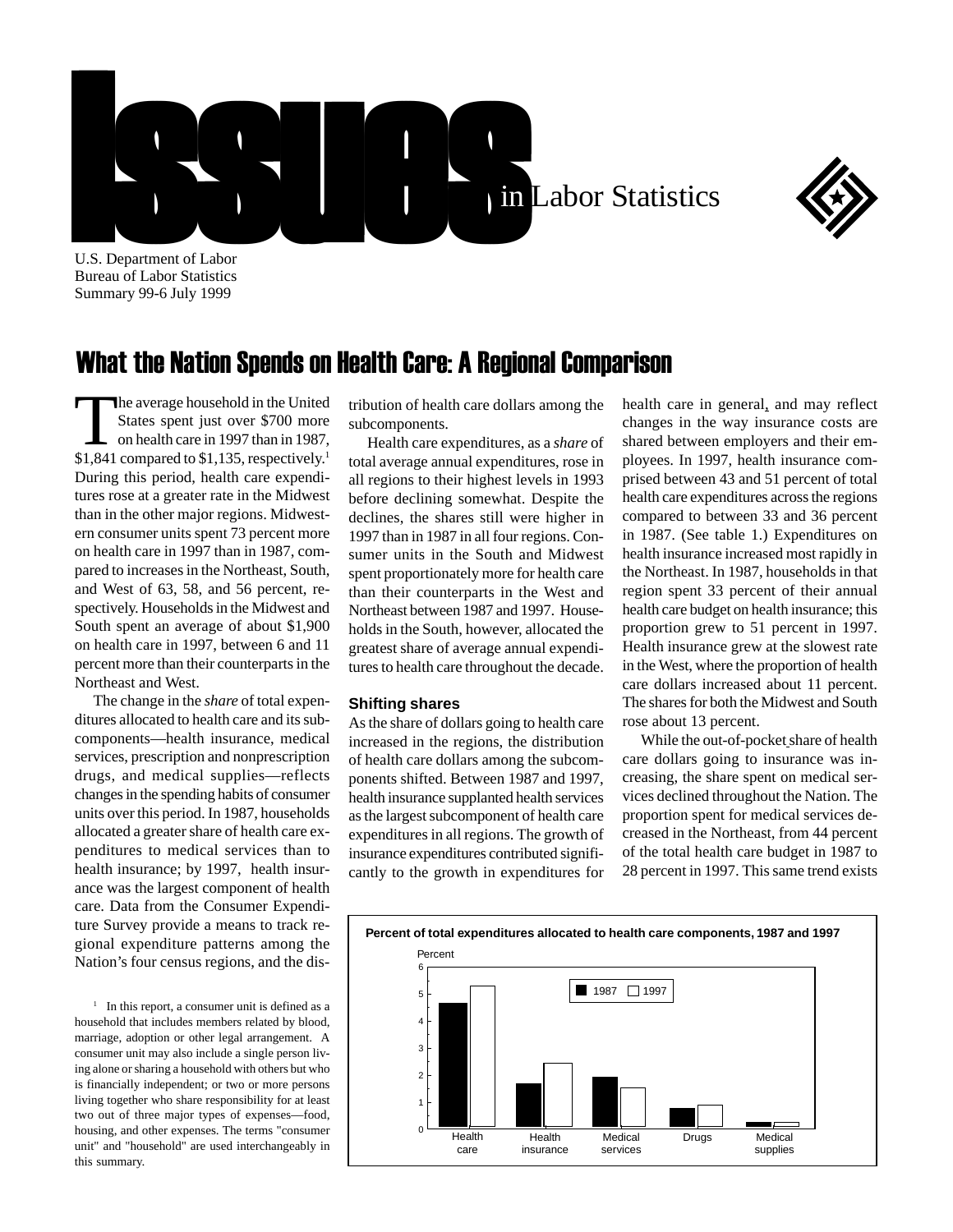



U.S. Department of Labor Bureau of Labor Statistics Summary 99-6 July 1999

## What the Nation Spends on Health Care: A Regional Comparison

he average household in the United States spent just over \$700 more on health care in 1997 than in 1987, \$1,841 compared to \$1,135, respectively.<sup>1</sup> During this period, health care expenditures rose at a greater rate in the Midwest than in the other major regions. Midwestern consumer units spent 73 percent more on health care in 1997 than in 1987, compared to increases in the Northeast, South, and West of 63, 58, and 56 percent, respectively. Households in the Midwest and South spent an average of about \$1,900 on health care in 1997, between 6 and 11 percent more than their counterparts in the Northeast and West.

The change in the *share* of total expenditures allocated to health care and its subcomponents—health insurance, medical services, prescription and nonprescription drugs, and medical supplies—reflects changes in the spending habits of consumer units over this period. In 1987, households allocated a greater share of health care expenditures to medical services than to health insurance; by 1997, health insurance was the largest component of health care. Data from the Consumer Expenditure Survey provide a means to track regional expenditure patterns among the Nation's four census regions, and the dis-

<sup>1</sup> In this report, a consumer unit is defined as a household that includes members related by blood, marriage, adoption or other legal arrangement. A consumer unit may also include a single person living alone or sharing a household with others but who is financially independent; or two or more persons living together who share responsibility for at least two out of three major types of expenses—food, housing, and other expenses. The terms "consumer unit" and "household" are used interchangeably in this summary.

tribution of health care dollars among the subcomponents.

Health care expenditures, as a *share* of total average annual expenditures, rose in all regions to their highest levels in 1993 before declining somewhat. Despite the declines, the shares still were higher in 1997 than in 1987 in all four regions. Consumer units in the South and Midwest spent proportionately more for health care than their counterparts in the West and Northeast between 1987 and 1997. Households in the South, however, allocated the greatest share of average annual expenditures to health care throughout the decade.

## **Shifting shares**

As the share of dollars going to health care increased in the regions, the distribution of health care dollars among the subcomponents shifted. Between 1987 and 1997, health insurance supplanted health services as the largest subcomponent of health care expenditures in all regions. The growth of insurance expenditures contributed significantly to the growth in expenditures for

health care in general, and may reflect changes in the way insurance costs are shared between employers and their employees. In 1997, health insurance comprised between 43 and 51 percent of total health care expenditures across the regions compared to between 33 and 36 percent in 1987. (See table 1.) Expenditures on health insurance increased most rapidly in the Northeast. In 1987, households in that region spent 33 percent of their annual health care budget on health insurance; this proportion grew to 51 percent in 1997. Health insurance grew at the slowest rate in the West, where the proportion of health care dollars increased about 11 percent. The shares for both the Midwest and South rose about 13 percent.

While the out-of-pocket share of health care dollars going to insurance was increasing, the share spent on medical services declined throughout the Nation. The proportion spent for medical services decreased in the Northeast, from 44 percent of the total health care budget in 1987 to 28 percent in 1997. This same trend exists